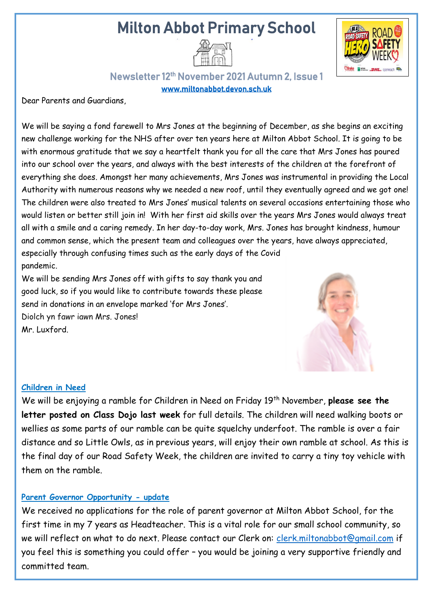# Milton Abbot Primary School





### Newsletter 12th November 2021 Autumn 2, Issue 1 [www.miltonabbot.devon.sch.uk](http://www.miltonabbot.devon.sch.uk/)

Dear Parents and Guardians,

We will be saying a fond farewell to Mrs Jones at the beginning of December, as she begins an exciting new challenge working for the NHS after over ten years here at Milton Abbot School. It is going to be with enormous gratitude that we say a heartfelt thank you for all the care that Mrs Jones has poured into our school over the years, and always with the best interests of the children at the forefront of everything she does. Amongst her many achievements, Mrs Jones was instrumental in providing the Local Authority with numerous reasons why we needed a new roof, until they eventually agreed and we got one! The children were also treated to Mrs Jones' musical talents on several occasions entertaining those who would listen or better still join in! With her first aid skills over the years Mrs Jones would always treat all with a smile and a caring remedy. In her day-to-day work, Mrs. Jones has brought kindness, humour and common sense, which the present team and colleagues over the years, have always appreciated, especially through confusing times such as the early days of the Covid pandemic.

We will be sending Mrs Jones off with gifts to say thank you and good luck, so if you would like to contribute towards these please send in donations in an envelope marked 'for Mrs Jones'. Diolch yn fawr iawn Mrs. Jones! Mr. Luxford.



#### **Children in Need**

We will be enjoying a ramble for Children in Need on Friday 19<sup>th</sup> November, please see the **letter posted on Class Dojo last week** for full details. The children will need walking boots or wellies as some parts of our ramble can be quite squelchy underfoot. The ramble is over a fair distance and so Little Owls, as in previous years, will enjoy their own ramble at school. As this is the final day of our Road Safety Week, the children are invited to carry a tiny toy vehicle with them on the ramble.

#### **Parent Governor Opportunity - update**

We received no applications for the role of parent governor at Milton Abbot School, for the first time in my 7 years as Headteacher. This is a vital role for our small school community, so we will reflect on what to do next. Please contact our Clerk on: [clerk.miltonabbot@gmail.com](mailto:clerk.miltonabbot@gmail.com) if you feel this is something you could offer – you would be joining a very supportive friendly and committed team.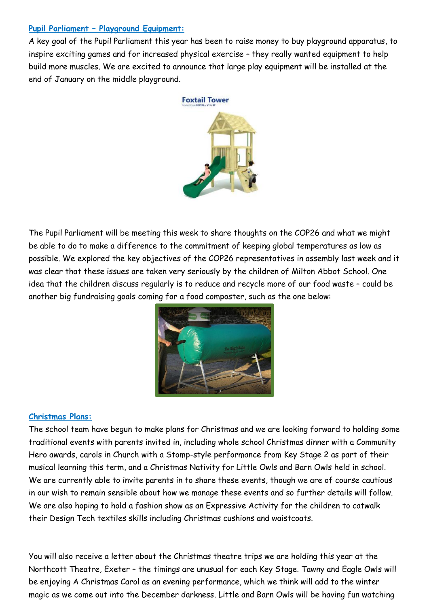#### **Pupil Parliament – Playground Equipment:**

A key goal of the Pupil Parliament this year has been to raise money to buy playground apparatus, to inspire exciting games and for increased physical exercise – they really wanted equipment to help build more muscles. We are excited to announce that large play equipment will be installed at the end of January on the middle playground.



The Pupil Parliament will be meeting this week to share thoughts on the COP26 and what we might be able to do to make a difference to the commitment of keeping global temperatures as low as possible. We explored the key objectives of the COP26 representatives in assembly last week and it was clear that these issues are taken very seriously by the children of Milton Abbot School. One idea that the children discuss regularly is to reduce and recycle more of our food waste – could be another big fundraising goals coming for a food composter, such as the one below:



#### **Christmas Plans:**

The school team have begun to make plans for Christmas and we are looking forward to holding some traditional events with parents invited in, including whole school Christmas dinner with a Community Hero awards, carols in Church with a Stomp-style performance from Key Stage 2 as part of their musical learning this term, and a Christmas Nativity for Little Owls and Barn Owls held in school. We are currently able to invite parents in to share these events, though we are of course cautious in our wish to remain sensible about how we manage these events and so further details will follow. We are also hoping to hold a fashion show as an Expressive Activity for the children to catwalk their Design Tech textiles skills including Christmas cushions and waistcoats.

You will also receive a letter about the Christmas theatre trips we are holding this year at the Northcott Theatre, Exeter – the timings are unusual for each Key Stage. Tawny and Eagle Owls will be enjoying A Christmas Carol as an evening performance, which we think will add to the winter magic as we come out into the December darkness. Little and Barn Owls will be having fun watching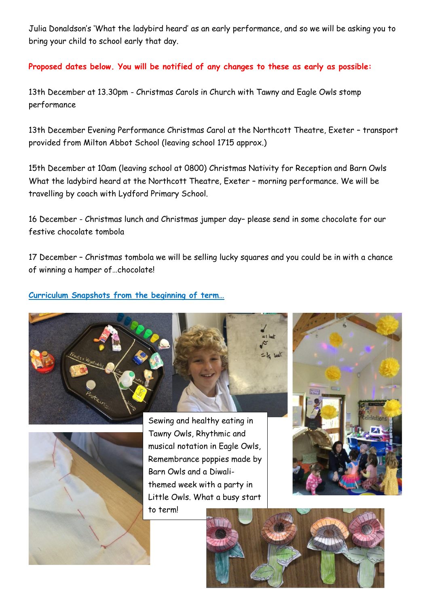Julia Donaldson's 'What the ladybird heard' as an early performance, and so we will be asking you to bring your child to school early that day.

**Proposed dates below. You will be notified of any changes to these as early as possible:** 

13th December at 13.30pm - Christmas Carols in Church with Tawny and Eagle Owls stomp performance

13th December Evening Performance Christmas Carol at the Northcott Theatre, Exeter – transport provided from Milton Abbot School (leaving school 1715 approx.)

15th December at 10am (leaving school at 0800) Christmas Nativity for Reception and Barn Owls What the ladybird heard at the Northcott Theatre, Exeter – morning performance. We will be travelling by coach with Lydford Primary School.

16 December - Christmas lunch and Christmas jumper day– please send in some chocolate for our festive chocolate tombola

17 December – Christmas tombola we will be selling lucky squares and you could be in with a chance of winning a hamper of…chocolate!

**Curriculum Snapshots from the beginning of term…**





Sewing and healthy eating in Tawny Owls, Rhythmic and musical notation in Eagle Owls, Remembrance poppies made by Barn Owls and a Diwalithemed week with a party in Little Owls. What a busy start to term!



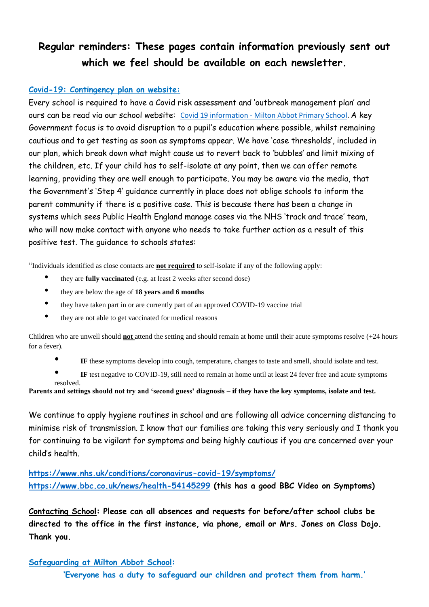## **Regular reminders: These pages contain information previously sent out which we feel should be available on each newsletter.**

#### **Covid-19: Contingency plan on website:**

Every school is required to have a Covid risk assessment and 'outbreak management plan' and ours can be read via our school website: Covid 19 information - [Milton Abbot Primary School.](https://www.miltonabbot.devon.sch.uk/covid-19-information.html) A key Government focus is to avoid disruption to a pupil's education where possible, whilst remaining cautious and to get testing as soon as symptoms appear. We have 'case thresholds', included in our plan, which break down what might cause us to revert back to 'bubbles' and limit mixing of the children, etc. If your child has to self-isolate at any point, then we can offer remote learning, providing they are well enough to participate. You may be aware via the media, that the Government's 'Step 4' guidance currently in place does not oblige schools to inform the parent community if there is a positive case. This is because there has been a change in systems which sees Public Health England manage cases via the NHS 'track and trace' team, who will now make contact with anyone who needs to take further action as a result of this positive test. The guidance to schools states:

"Individuals identified as close contacts are **not required** to self-isolate if any of the following apply:

- they are **fully vaccinated** (e.g. at least 2 weeks after second dose)
- they are below the age of **18 years and 6 months**
- they have taken part in or are currently part of an approved COVID-19 vaccine trial
- they are not able to get vaccinated for medical reasons

Children who are unwell should **not** attend the setting and should remain at home until their acute symptoms resolve (+24 hours for a fever).

• **IF** these symptoms develop into cough, temperature, changes to taste and smell, should isolate and test.

IF test negative to COVID-19, still need to remain at home until at least 24 fever free and acute symptoms

resolved. **Parents and settings should not try and 'second guess' diagnosis – if they have the key symptoms, isolate and test.**

We continue to apply hygiene routines in school and are following all advice concerning distancing to minimise risk of transmission. I know that our families are taking this very seriously and I thank you for continuing to be vigilant for symptoms and being highly cautious if you are concerned over your child's health.

**<https://www.nhs.uk/conditions/coronavirus-covid-19/symptoms/> <https://www.bbc.co.uk/news/health-54145299> (this has a good BBC Video on Symptoms)**

**Contacting School: Please can all absences and requests for before/after school clubs be directed to the office in the first instance, via phone, email or Mrs. Jones on Class Dojo. Thank you.**

#### **Safeguarding at Milton Abbot School:**

**'Everyone has a duty to safeguard our children and protect them from harm.'**